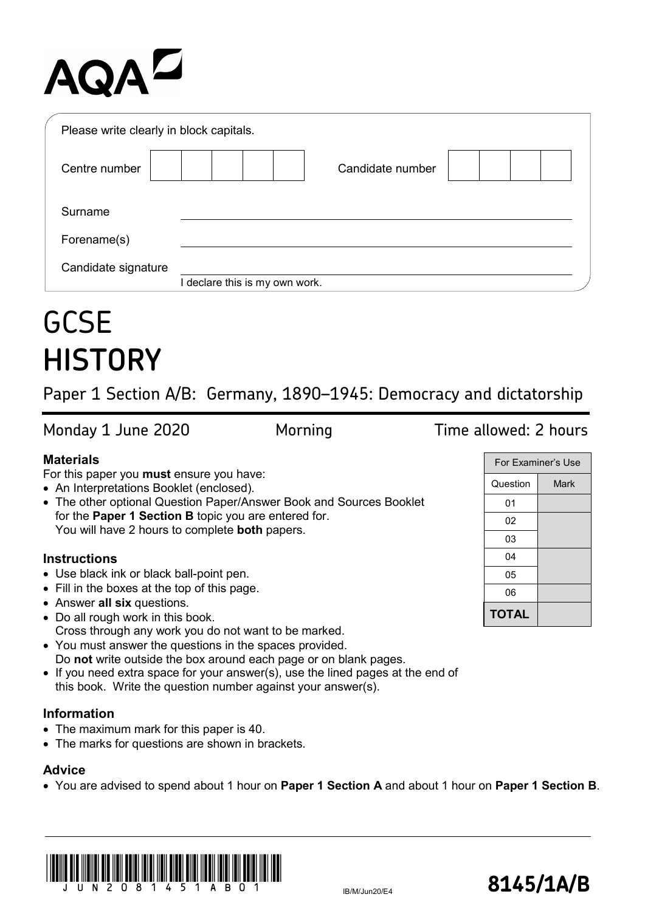# AQA<sup>D</sup>

| Please write clearly in block capitals. |                                |  |
|-----------------------------------------|--------------------------------|--|
| Centre number                           | Candidate number               |  |
| Surname                                 |                                |  |
| Forename(s)                             |                                |  |
| Candidate signature                     |                                |  |
|                                         | I declare this is my own work. |  |

## **GCSE HISTORY**

Paper 1 Section A/B: Germany, 1890–1945: Democracy and dictatorship

Monday 1 June 2020 Morning Time allowed: 2 hours

#### **Materials**

For this paper you **must** ensure you have:

- An Interpretations Booklet (enclosed).
- The other optional Question Paper/Answer Book and Sources Booklet for the **Paper 1 Section B** topic you are entered for. You will have 2 hours to complete **both** papers.

#### **Instructions**

- Use black ink or black ball-point pen.
- Fill in the boxes at the top of this page.
- Answer **all six** questions.
- Do all rough work in this book.
	- Cross through any work you do not want to be marked.
- You must answer the questions in the spaces provided. Do **not** write outside the box around each page or on blank pages.
- If you need extra space for your answer(s), use the lined pages at the end of this book. Write the question number against your answer(s).

#### **Information**

- The maximum mark for this paper is 40.
- The marks for questions are shown in brackets.

### **Advice**

• You are advised to spend about 1 hour on **Paper 1 Section A** and about 1 hour on **Paper 1 Section B**.





For Examiner's Use



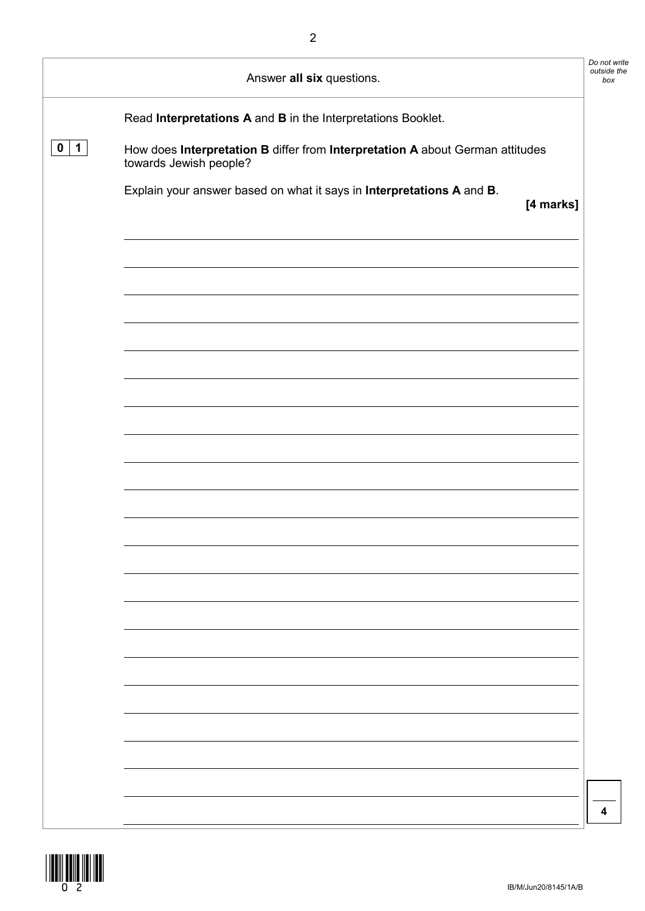|                           | Answer all six questions.                                                                               |           | Do not write<br>outside the<br>box |
|---------------------------|---------------------------------------------------------------------------------------------------------|-----------|------------------------------------|
|                           | Read Interpretations A and B in the Interpretations Booklet.                                            |           |                                    |
| $\mathbf{0}$<br>$\vert$ 1 | How does Interpretation B differ from Interpretation A about German attitudes<br>towards Jewish people? |           |                                    |
|                           | Explain your answer based on what it says in Interpretations A and B.                                   | [4 marks] |                                    |
|                           |                                                                                                         |           |                                    |
|                           |                                                                                                         |           |                                    |
|                           |                                                                                                         |           |                                    |
|                           |                                                                                                         |           |                                    |
|                           |                                                                                                         |           |                                    |
|                           |                                                                                                         |           |                                    |
|                           |                                                                                                         |           |                                    |
|                           |                                                                                                         |           |                                    |
|                           |                                                                                                         |           |                                    |
|                           |                                                                                                         |           |                                    |
|                           |                                                                                                         |           |                                    |
|                           |                                                                                                         |           |                                    |
|                           |                                                                                                         |           |                                    |
|                           |                                                                                                         |           | 4                                  |

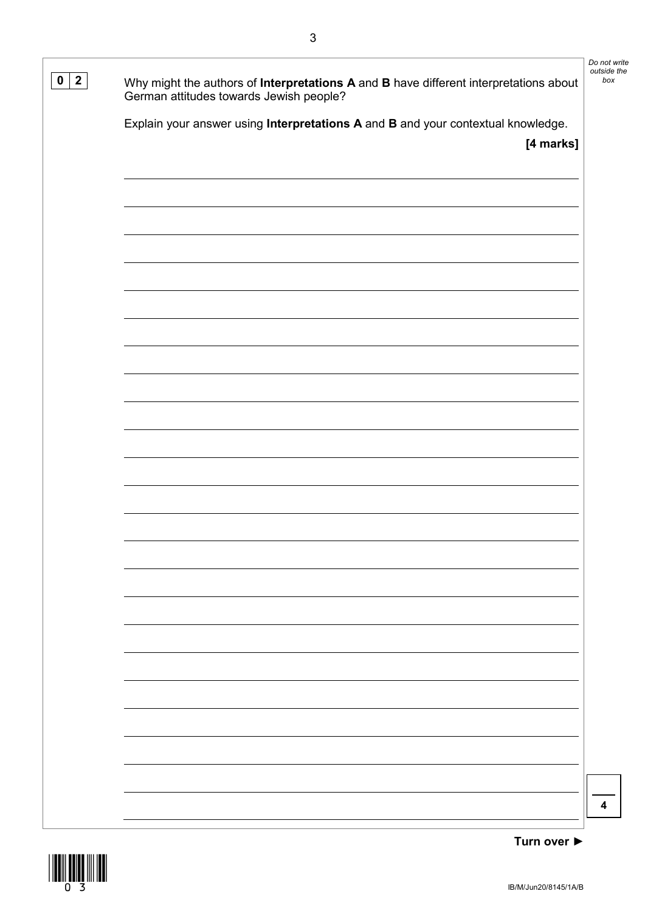|                   |                                                                                                                                  | Do not write<br>outside the |
|-------------------|----------------------------------------------------------------------------------------------------------------------------------|-----------------------------|
| $\mathbf{2}$<br>0 | Why might the authors of Interpretations A and B have different interpretations about<br>German attitudes towards Jewish people? | box                         |
|                   | Explain your answer using Interpretations A and B and your contextual knowledge.                                                 |                             |
|                   | [4 marks]                                                                                                                        |                             |
|                   |                                                                                                                                  |                             |
|                   |                                                                                                                                  |                             |
|                   |                                                                                                                                  |                             |
|                   |                                                                                                                                  |                             |
|                   |                                                                                                                                  |                             |
|                   |                                                                                                                                  |                             |
|                   |                                                                                                                                  |                             |
|                   |                                                                                                                                  |                             |
|                   |                                                                                                                                  |                             |
|                   |                                                                                                                                  |                             |
|                   |                                                                                                                                  |                             |
|                   |                                                                                                                                  |                             |
|                   |                                                                                                                                  |                             |
|                   |                                                                                                                                  |                             |
|                   |                                                                                                                                  |                             |
|                   |                                                                                                                                  |                             |
|                   |                                                                                                                                  |                             |
|                   |                                                                                                                                  |                             |
|                   |                                                                                                                                  |                             |
|                   |                                                                                                                                  |                             |
|                   |                                                                                                                                  |                             |
|                   |                                                                                                                                  |                             |
|                   |                                                                                                                                  | 4                           |
|                   |                                                                                                                                  |                             |

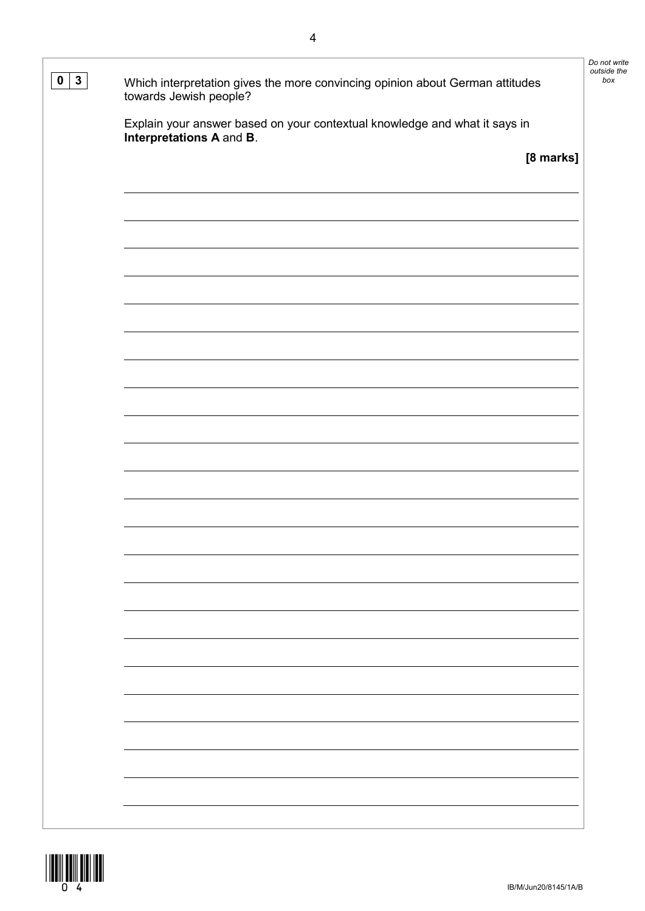| $\mathbf{3}$<br>$\mathbf 0$ | Which interpretation gives the more convincing opinion about German attitudes<br>towards Jewish people? | Do not write<br>outside the<br>box |
|-----------------------------|---------------------------------------------------------------------------------------------------------|------------------------------------|
|                             | Explain your answer based on your contextual knowledge and what it says in<br>Interpretations A and B.  |                                    |
|                             | [8 marks]                                                                                               |                                    |
|                             |                                                                                                         |                                    |
|                             |                                                                                                         |                                    |
|                             |                                                                                                         |                                    |
|                             |                                                                                                         |                                    |
|                             |                                                                                                         |                                    |
|                             |                                                                                                         |                                    |
|                             |                                                                                                         |                                    |
|                             |                                                                                                         |                                    |
|                             |                                                                                                         |                                    |
|                             |                                                                                                         |                                    |
|                             |                                                                                                         |                                    |
|                             |                                                                                                         |                                    |
|                             |                                                                                                         |                                    |
|                             |                                                                                                         |                                    |
|                             |                                                                                                         |                                    |
|                             |                                                                                                         |                                    |
|                             |                                                                                                         |                                    |
|                             |                                                                                                         |                                    |
|                             |                                                                                                         |                                    |

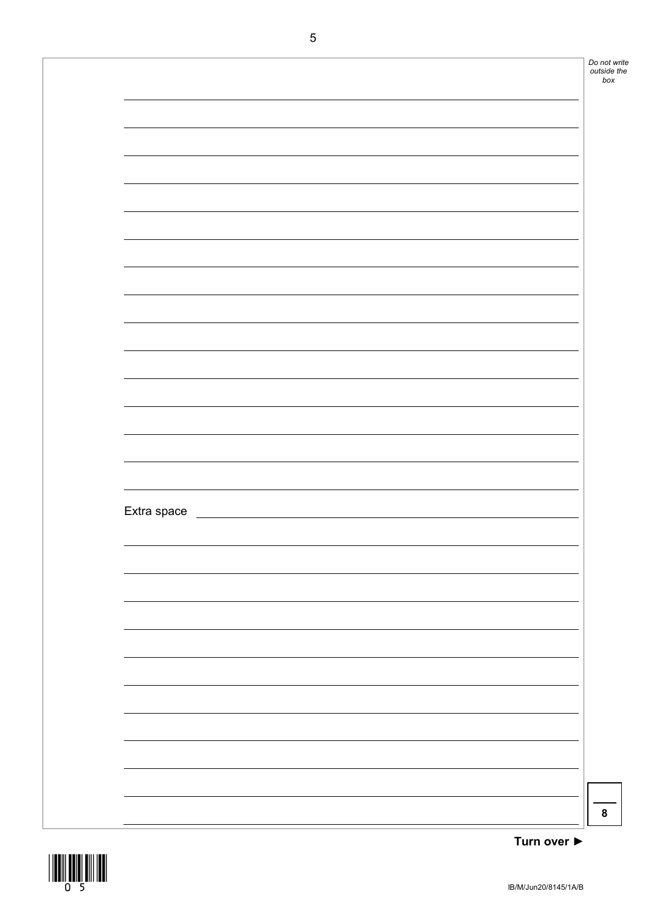| Extra space |  |  |
|-------------|--|--|
|             |  |  |
|             |  |  |
|             |  |  |
|             |  |  |
|             |  |  |
|             |  |  |
|             |  |  |
|             |  |  |
|             |  |  |
|             |  |  |
|             |  |  |

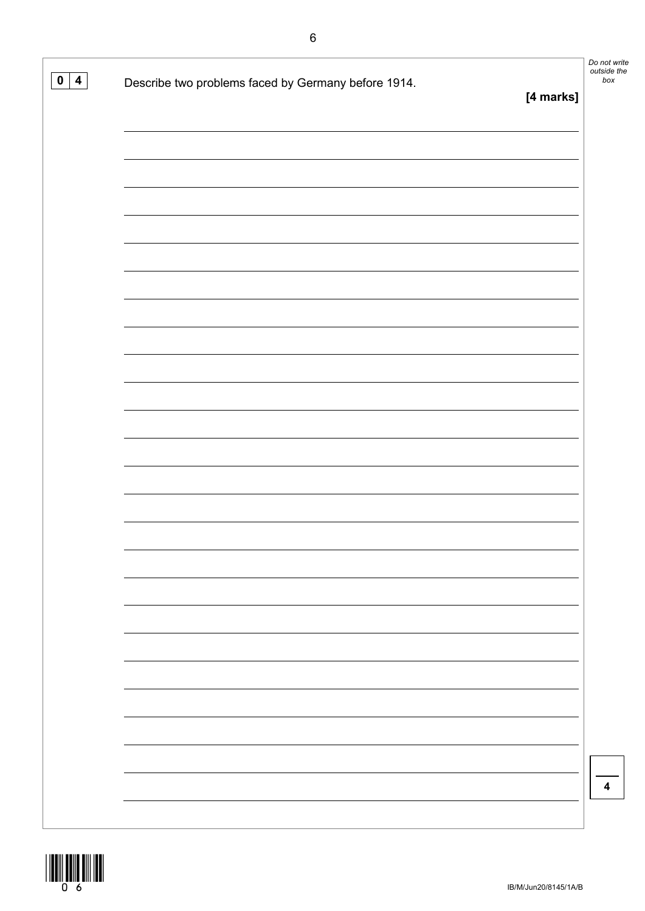| $\overline{\mathbf{4}}$<br>$\mathbf 0$ | Describe two problems faced by Germany before 1914. | Do not write<br>outside the<br>box |
|----------------------------------------|-----------------------------------------------------|------------------------------------|
|                                        | [4 marks]                                           |                                    |
|                                        |                                                     |                                    |
|                                        |                                                     |                                    |
|                                        |                                                     |                                    |
|                                        |                                                     |                                    |
|                                        |                                                     |                                    |
|                                        |                                                     |                                    |
|                                        |                                                     |                                    |
|                                        |                                                     |                                    |
|                                        |                                                     |                                    |
|                                        |                                                     |                                    |
|                                        |                                                     |                                    |
|                                        |                                                     |                                    |
|                                        |                                                     |                                    |
|                                        |                                                     |                                    |
|                                        |                                                     |                                    |
|                                        |                                                     |                                    |
|                                        |                                                     |                                    |
|                                        |                                                     |                                    |
|                                        |                                                     |                                    |
|                                        |                                                     |                                    |
|                                        |                                                     |                                    |
|                                        |                                                     |                                    |
|                                        |                                                     |                                    |
|                                        |                                                     | 4                                  |
|                                        |                                                     |                                    |

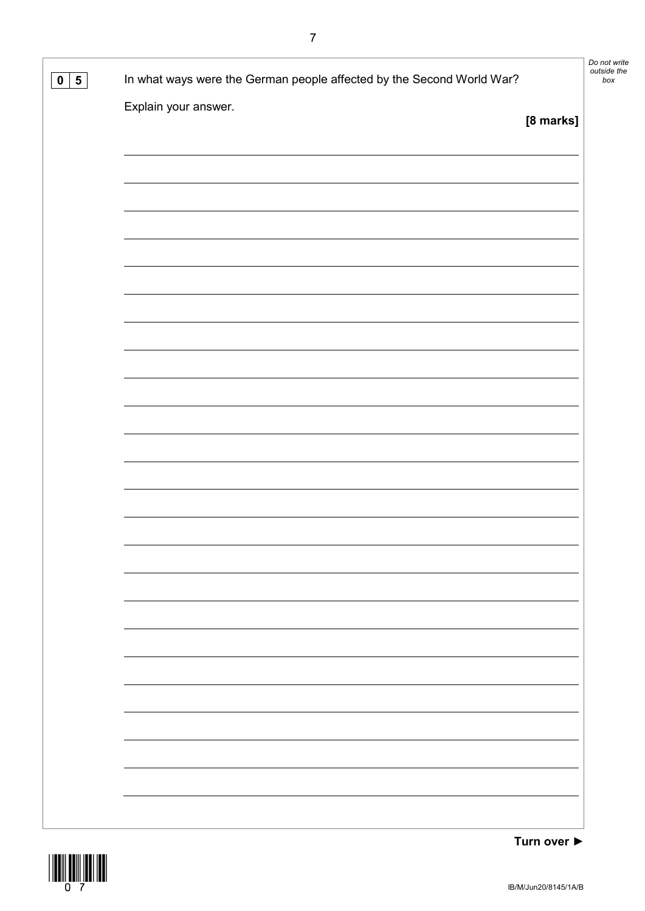| [8 marks] |
|-----------|
|           |
|           |
|           |
|           |
|           |
|           |
|           |
|           |
|           |
|           |
|           |
|           |
|           |
|           |
|           |
|           |
|           |
|           |
|           |
|           |
|           |
|           |
|           |
|           |
|           |
|           |
|           |
|           |
|           |



**Turn over ►**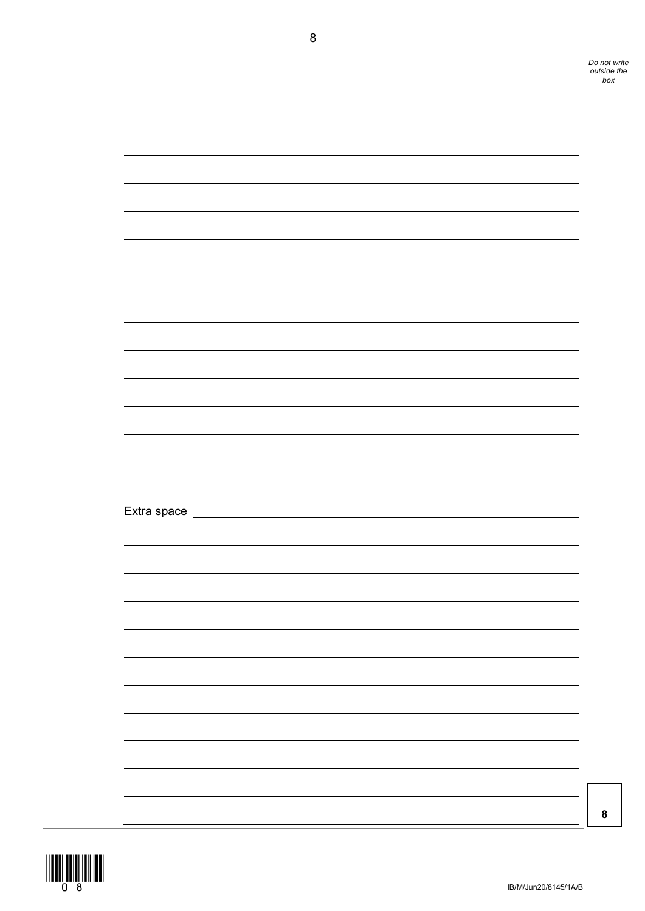| Extra space | <u> 1980 - Jan Stein Stein Stein Stein Stein Stein Stein Stein Stein Stein Stein Stein Stein Stein Stein Stein S</u> |  |  |
|-------------|----------------------------------------------------------------------------------------------------------------------|--|--|
|             |                                                                                                                      |  |  |
|             |                                                                                                                      |  |  |
|             |                                                                                                                      |  |  |
|             |                                                                                                                      |  |  |
|             |                                                                                                                      |  |  |
|             |                                                                                                                      |  |  |
|             |                                                                                                                      |  |  |
|             |                                                                                                                      |  |  |
|             |                                                                                                                      |  |  |
|             |                                                                                                                      |  |  |
|             |                                                                                                                      |  |  |
|             |                                                                                                                      |  |  |

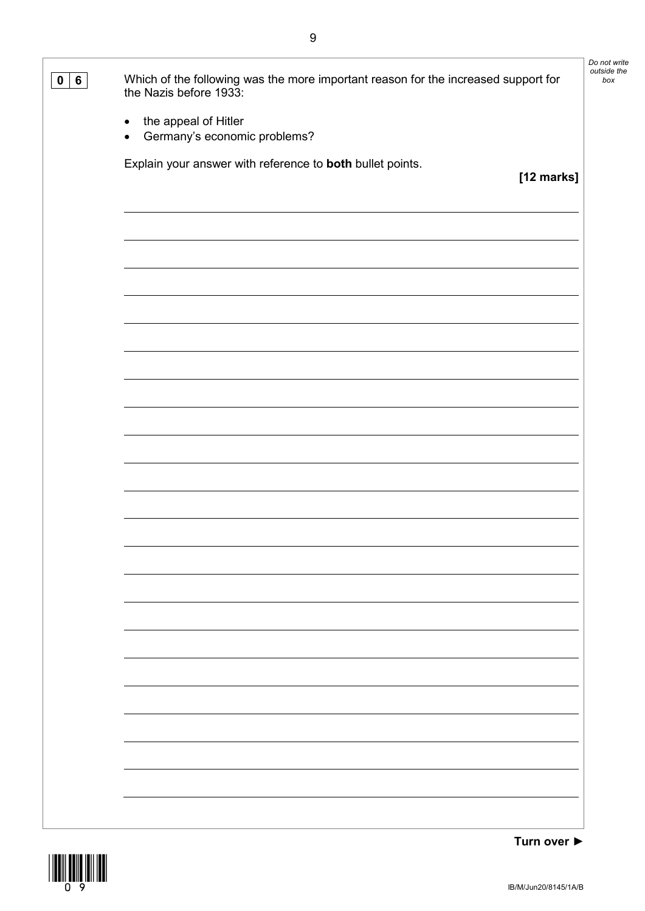| 6 <sup>1</sup><br>0 | Which of the following was the more important reason for the increased support for<br>the Nazis before 1933: | Do not write<br>outside the<br>box |
|---------------------|--------------------------------------------------------------------------------------------------------------|------------------------------------|
|                     | the appeal of Hitler<br>$\bullet$<br>Germany's economic problems?<br>$\bullet$                               |                                    |
|                     | Explain your answer with reference to both bullet points.                                                    |                                    |
|                     | [12 marks]                                                                                                   |                                    |
|                     |                                                                                                              |                                    |
|                     |                                                                                                              |                                    |
|                     |                                                                                                              |                                    |
|                     |                                                                                                              |                                    |
|                     |                                                                                                              |                                    |
|                     |                                                                                                              |                                    |
|                     |                                                                                                              |                                    |
|                     |                                                                                                              |                                    |
|                     |                                                                                                              |                                    |
|                     |                                                                                                              |                                    |
|                     |                                                                                                              |                                    |
|                     |                                                                                                              |                                    |
|                     |                                                                                                              |                                    |
|                     |                                                                                                              |                                    |
|                     |                                                                                                              |                                    |
|                     |                                                                                                              |                                    |
|                     |                                                                                                              |                                    |
|                     |                                                                                                              |                                    |
|                     |                                                                                                              |                                    |
|                     |                                                                                                              |                                    |
|                     |                                                                                                              |                                    |
|                     |                                                                                                              |                                    |
|                     |                                                                                                              |                                    |
|                     |                                                                                                              |                                    |



**Turn over ►**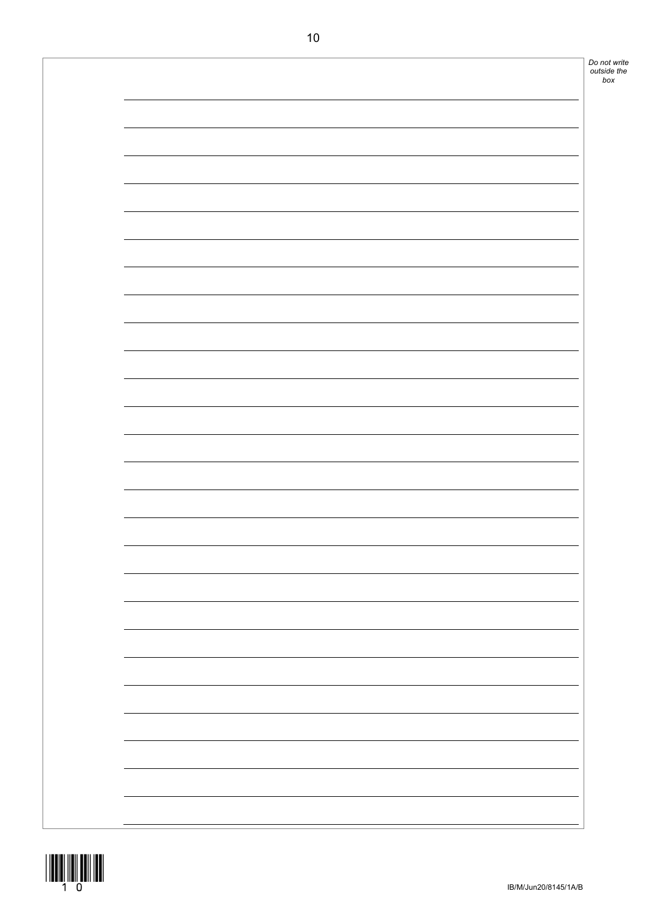

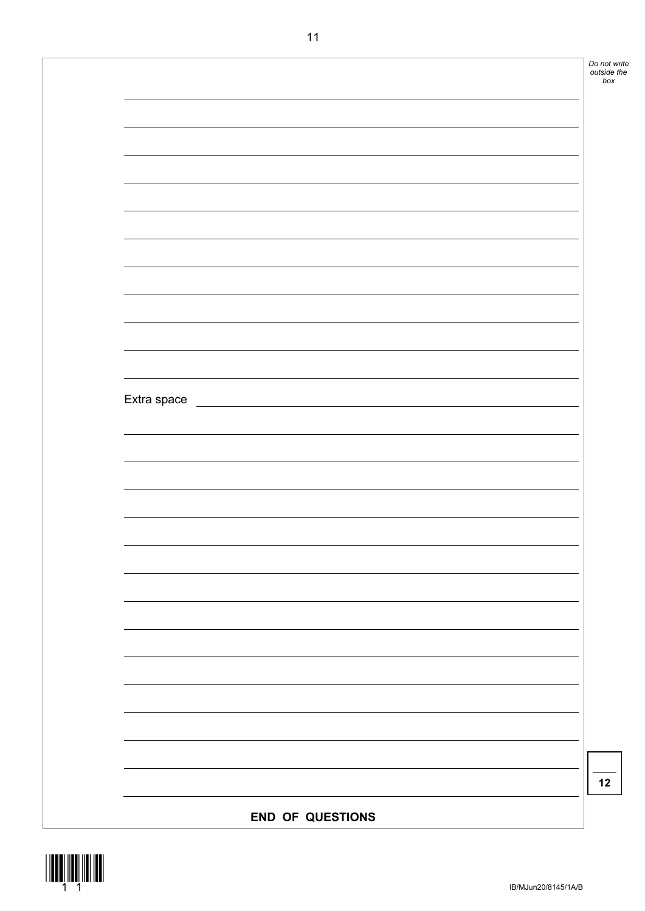|                                                                                                                                                                                                                                                     | Do not write<br>outside the |
|-----------------------------------------------------------------------------------------------------------------------------------------------------------------------------------------------------------------------------------------------------|-----------------------------|
|                                                                                                                                                                                                                                                     |                             |
|                                                                                                                                                                                                                                                     |                             |
|                                                                                                                                                                                                                                                     |                             |
|                                                                                                                                                                                                                                                     |                             |
|                                                                                                                                                                                                                                                     |                             |
|                                                                                                                                                                                                                                                     |                             |
|                                                                                                                                                                                                                                                     |                             |
|                                                                                                                                                                                                                                                     |                             |
|                                                                                                                                                                                                                                                     |                             |
|                                                                                                                                                                                                                                                     |                             |
|                                                                                                                                                                                                                                                     |                             |
|                                                                                                                                                                                                                                                     |                             |
|                                                                                                                                                                                                                                                     |                             |
|                                                                                                                                                                                                                                                     |                             |
| Extra space<br><u>and the state of the state of the state of the state of the state of the state of the state of the state of the state of the state of the state of the state of the state of the state of the state of the state of the state</u> |                             |
|                                                                                                                                                                                                                                                     |                             |
|                                                                                                                                                                                                                                                     |                             |
|                                                                                                                                                                                                                                                     |                             |
|                                                                                                                                                                                                                                                     |                             |
|                                                                                                                                                                                                                                                     |                             |
|                                                                                                                                                                                                                                                     |                             |
|                                                                                                                                                                                                                                                     |                             |
|                                                                                                                                                                                                                                                     |                             |
|                                                                                                                                                                                                                                                     |                             |
|                                                                                                                                                                                                                                                     |                             |
|                                                                                                                                                                                                                                                     |                             |
|                                                                                                                                                                                                                                                     |                             |
|                                                                                                                                                                                                                                                     |                             |
|                                                                                                                                                                                                                                                     |                             |
|                                                                                                                                                                                                                                                     |                             |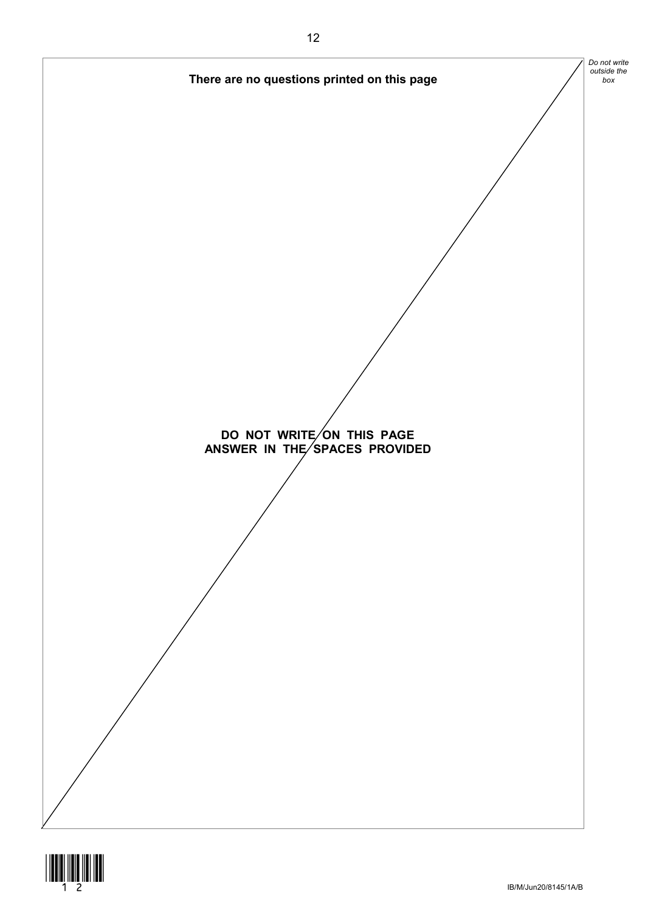

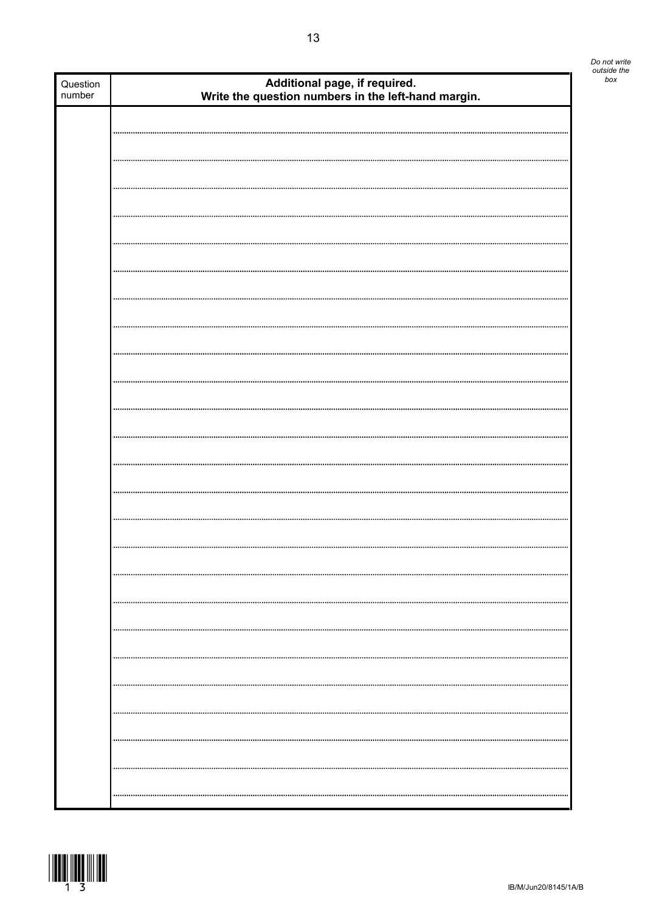| Question<br>number | Additional page, if required.<br>Write the question numbers in the left-hand margin. |  |
|--------------------|--------------------------------------------------------------------------------------|--|
|                    |                                                                                      |  |
|                    |                                                                                      |  |
|                    |                                                                                      |  |
|                    |                                                                                      |  |
|                    |                                                                                      |  |
|                    |                                                                                      |  |
|                    |                                                                                      |  |
|                    |                                                                                      |  |
|                    |                                                                                      |  |
|                    |                                                                                      |  |
|                    |                                                                                      |  |
|                    |                                                                                      |  |
|                    |                                                                                      |  |
|                    |                                                                                      |  |
|                    |                                                                                      |  |
|                    |                                                                                      |  |
|                    |                                                                                      |  |
|                    |                                                                                      |  |
|                    |                                                                                      |  |
|                    |                                                                                      |  |
|                    |                                                                                      |  |
|                    |                                                                                      |  |
|                    |                                                                                      |  |
|                    |                                                                                      |  |
|                    |                                                                                      |  |
|                    |                                                                                      |  |
|                    |                                                                                      |  |
|                    |                                                                                      |  |
|                    |                                                                                      |  |
|                    |                                                                                      |  |
|                    |                                                                                      |  |
|                    |                                                                                      |  |
|                    |                                                                                      |  |
|                    |                                                                                      |  |
|                    |                                                                                      |  |
|                    |                                                                                      |  |
|                    |                                                                                      |  |
|                    |                                                                                      |  |
|                    |                                                                                      |  |
|                    |                                                                                      |  |



Π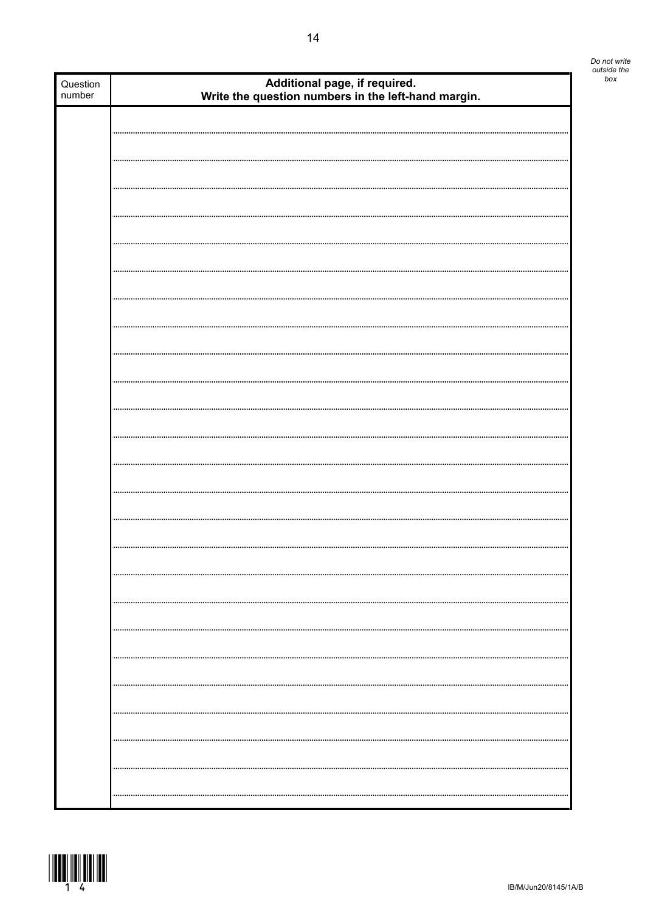| Additional page, if required.<br>Write the question numbers in the left-hand margin. |
|--------------------------------------------------------------------------------------|
|                                                                                      |
|                                                                                      |
|                                                                                      |
|                                                                                      |
|                                                                                      |
|                                                                                      |
|                                                                                      |
|                                                                                      |
|                                                                                      |
|                                                                                      |
|                                                                                      |
|                                                                                      |
|                                                                                      |
|                                                                                      |
|                                                                                      |
|                                                                                      |
|                                                                                      |
|                                                                                      |
|                                                                                      |
|                                                                                      |
|                                                                                      |
|                                                                                      |
|                                                                                      |
|                                                                                      |
|                                                                                      |
|                                                                                      |
|                                                                                      |
|                                                                                      |
|                                                                                      |
|                                                                                      |
|                                                                                      |
|                                                                                      |
|                                                                                      |
|                                                                                      |
|                                                                                      |
|                                                                                      |
|                                                                                      |
|                                                                                      |
|                                                                                      |
|                                                                                      |
|                                                                                      |
|                                                                                      |
|                                                                                      |
|                                                                                      |
|                                                                                      |
|                                                                                      |



. . . . . . . . . . . . . . . . . .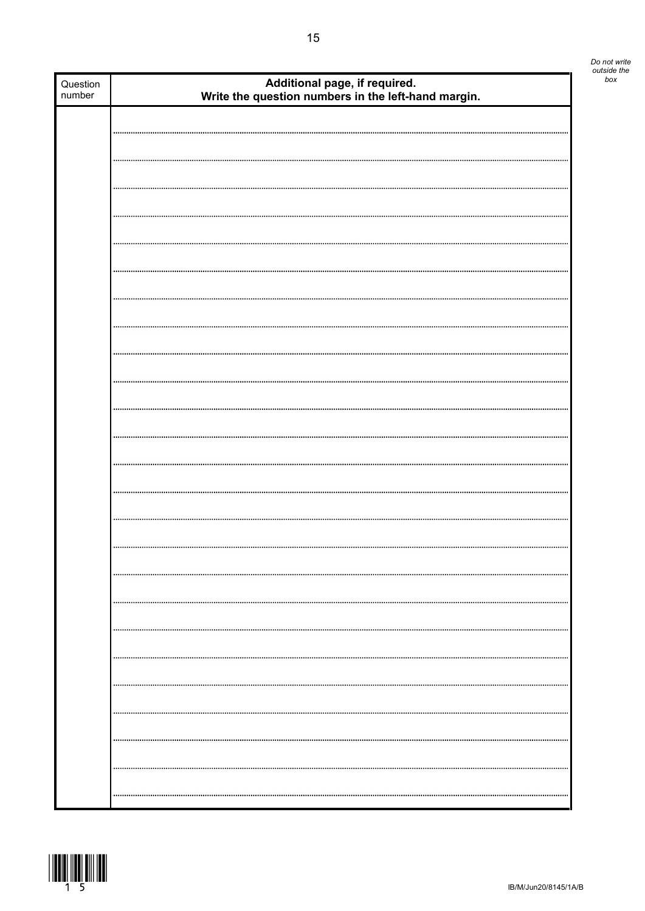| Question<br>number | Additional page, if required.<br>Write the question numbers in the left-hand margin. |  |
|--------------------|--------------------------------------------------------------------------------------|--|
|                    |                                                                                      |  |
|                    |                                                                                      |  |
|                    |                                                                                      |  |
|                    |                                                                                      |  |
|                    |                                                                                      |  |
|                    |                                                                                      |  |
|                    |                                                                                      |  |
|                    |                                                                                      |  |
|                    |                                                                                      |  |
|                    |                                                                                      |  |
|                    |                                                                                      |  |
|                    |                                                                                      |  |
|                    |                                                                                      |  |
|                    |                                                                                      |  |
|                    |                                                                                      |  |
|                    |                                                                                      |  |
|                    |                                                                                      |  |
|                    |                                                                                      |  |
|                    |                                                                                      |  |
|                    |                                                                                      |  |
|                    |                                                                                      |  |
|                    |                                                                                      |  |
|                    |                                                                                      |  |
|                    |                                                                                      |  |
|                    |                                                                                      |  |
|                    |                                                                                      |  |
|                    |                                                                                      |  |
|                    |                                                                                      |  |
|                    |                                                                                      |  |
|                    |                                                                                      |  |
|                    |                                                                                      |  |
|                    |                                                                                      |  |
|                    |                                                                                      |  |
|                    |                                                                                      |  |
|                    |                                                                                      |  |
|                    |                                                                                      |  |
|                    |                                                                                      |  |
|                    |                                                                                      |  |
|                    |                                                                                      |  |
|                    |                                                                                      |  |
|                    |                                                                                      |  |
|                    |                                                                                      |  |



 $\overline{\phantom{a}}$ 

*Do not write outside the*